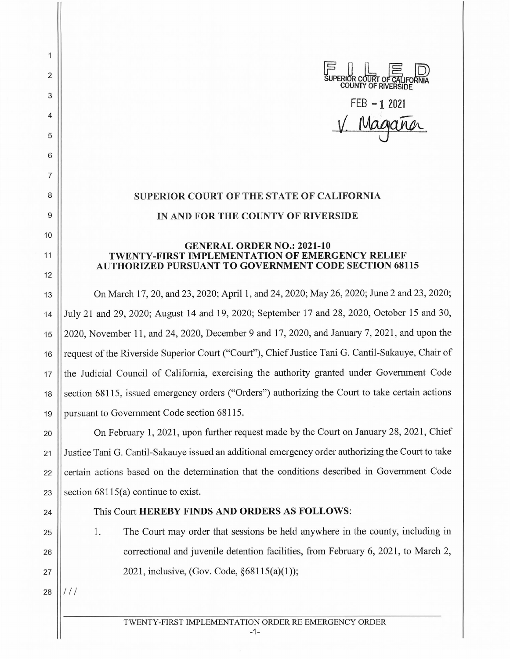SUPERIOR COURT OF CALIFORNIA FEB -1 2021 Magan

## **SUPERIOR COURT OF THE STATE OF CALIFORNIA IN AND FOR THE COUNTY OF RIVERSIDE**

## **GENERAL ORDER NO.: 2021-10 TWENTY-FIRST IMPLEMENTATION OF EMERGENCY RELIEF AUTHORIZED PURSUANT TO GOVERNMENT CODE SECTION 68115**

13 On March 17, 20, and 23, 2020; April 1, and 24, 2020; May 26, 2020; June 2 and 23, 2020; 14 July 21 and 29, 2020; August 14 and 19, 2020; September 17 and 28, 2020, October 15 and 30, 15 2020, November 11, and 24, 2020, December 9 and 17, 2020, and January 7, 2021 , and upon the 16 || request of the Riverside Superior Court ("Court"), Chief Justice Tani G. Cantil-Sakauye, Chair of 17 || the Judicial Council of California, exercising the authority granted under Government Code 18 Section 68115, issued emergency orders ("Orders") authorizing the Court to take certain actions 19 Dursuant to Government Code section 68115.

20 | On February 1, 2021, upon further request made by the Court on January 28, 2021, Chief 21 Justice Tani G. Cantil-Sakauye issued an additional emergency order authorizing the Court to take 22 | certain actions based on the determination that the conditions described in Government Code 23 Section  $68115(a)$  continue to exist.

2

 $\mathbf{1}$ 

3

4

5

6

7

8

9

10

11

12

## 24 This Court **HEREBY FINDS AND ORDERS AS FOLLOWS:**

25 1. The Court may order that sessions be held anywhere in the county, including in 26 **correctional and juvenile detention facilities, from February 6, 2021, to March 2,** 27  $\|$  2021, inclusive, (Gov. Code, §68115(a)(1));

 $28$   $\frac{1}{1}$